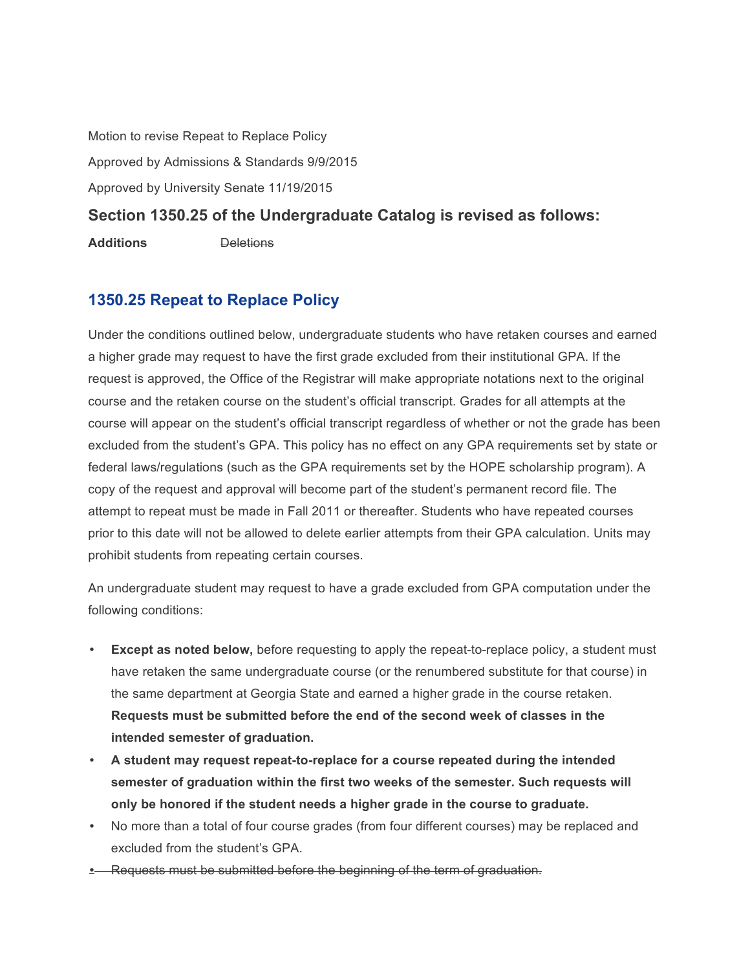Motion to revise Repeat to Replace Policy

Approved by Admissions & Standards 9/9/2015

Approved by University Senate 11/19/2015

## **Section 1350.25 of the Undergraduate Catalog is revised as follows:**

**Additions** Deletions

## **1350.25 Repeat to Replace Policy**

Under the conditions outlined below, undergraduate students who have retaken courses and earned a higher grade may request to have the first grade excluded from their institutional GPA. If the request is approved, the Office of the Registrar will make appropriate notations next to the original course and the retaken course on the student's official transcript. Grades for all attempts at the course will appear on the student's official transcript regardless of whether or not the grade has been excluded from the student's GPA. This policy has no effect on any GPA requirements set by state or federal laws/regulations (such as the GPA requirements set by the HOPE scholarship program). A copy of the request and approval will become part of the student's permanent record file. The attempt to repeat must be made in Fall 2011 or thereafter. Students who have repeated courses prior to this date will not be allowed to delete earlier attempts from their GPA calculation. Units may prohibit students from repeating certain courses.

An undergraduate student may request to have a grade excluded from GPA computation under the following conditions:

- **Except as noted below,** before requesting to apply the repeat-to-replace policy, a student must have retaken the same undergraduate course (or the renumbered substitute for that course) in the same department at Georgia State and earned a higher grade in the course retaken. **Requests must be submitted before the end of the second week of classes in the intended semester of graduation.**
- **A student may request repeat-to-replace for a course repeated during the intended semester of graduation within the first two weeks of the semester. Such requests will only be honored if the student needs a higher grade in the course to graduate.**
- No more than a total of four course grades (from four different courses) may be replaced and excluded from the student's GPA.
- Requests must be submitted before the beginning of the term of graduation.